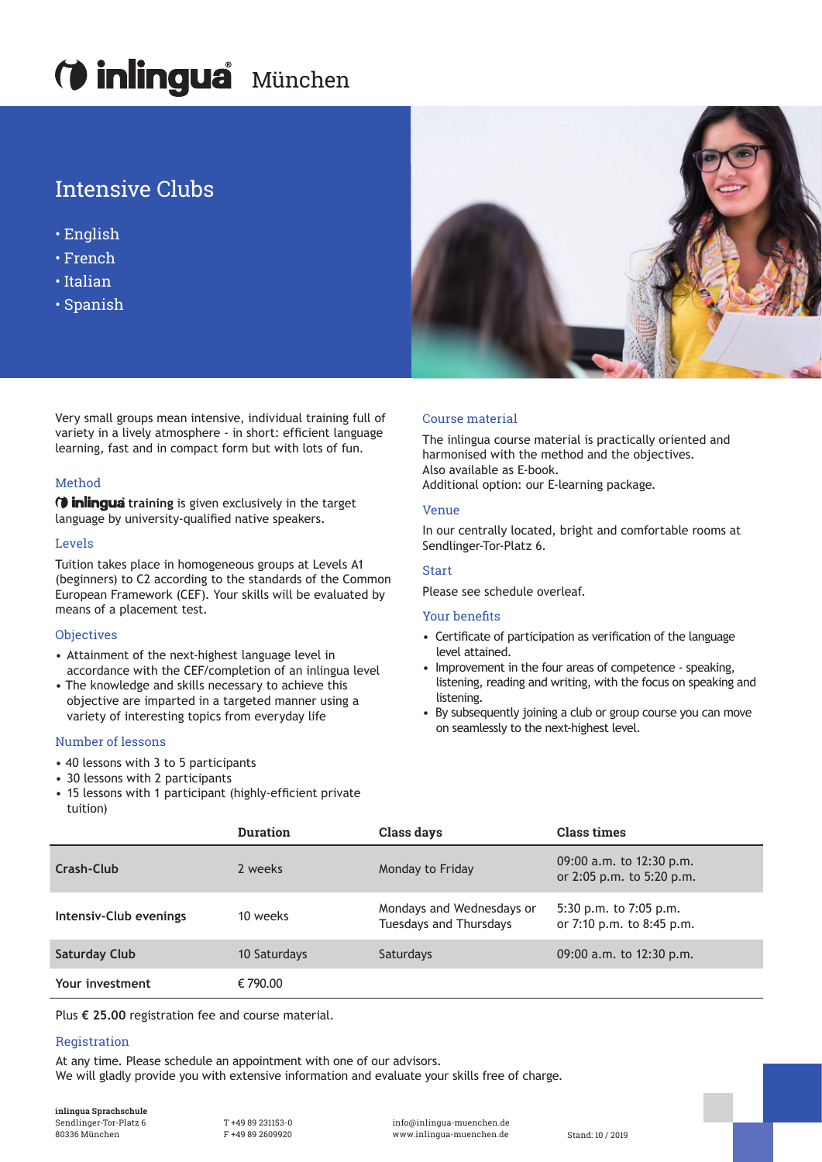# **Mingua** München

### Intensive Clubs

- English
- French
- Italian
- Spanish

Very small groups mean intensive, individual training full of variety in a lively atmosphere - in short: eficient language learning, fast and in compact form but with lots of fun.

#### Method

**(***i* **inlingua** training is given exclusively in the target language by university-qualified native speakers.

#### Levels

Tuition takes place in homogeneous groups at Levels A1 (beginners) to C2 according to the standards of the Common European Framework (CEF). Your skills will be evaluated by means of a placement test.

#### **Objectives**

- Attainment of the next-highest language level in accordance with the CEF/completion of an inlingua level
- The knowledge and skills necessary to achieve this objective are imparted in a targeted manner using a variety of interesting topics from everyday life

#### Number of lessons

- 40 lessons with 3 to 5 participants
- 30 lessons with 2 participants
- 15 lessons with 1 participant (highly-eficient private tuition)



Plus **€ 25.00** registration fee and course material.

#### Registration

At any time. Please schedule an appointment with one of our advisors. We will gladly provide you with extensive information and evaluate your skills free of charge.

**inlingua Sprachschule**  Sendlinger-Tor-Platz 6

T +49 89 231153-0 F +49 89 2609920

info@inlingua-muenchen.de www.inlingua-muenchen.de 80336 München Stand: 10 / 2019



#### Course material

The inlingua course material is practically oriented and harmonised with the method and the objectives. Also available as E-book.

Additional option: our E-learning package.

#### Venue

In our centrally located, bright and comfortable rooms at Sendlinger-Tor-Platz 6.

#### Start

Please see schedule overleaf.

#### **Your benefits**

- Certificate of participation as verification of the language level attained.
- Improvement in the four areas of competence speaking, listening, reading and writing, with the focus on speaking and listening.
- By subsequently joining a club or group course you can move on seamlessly to the next-highest level.